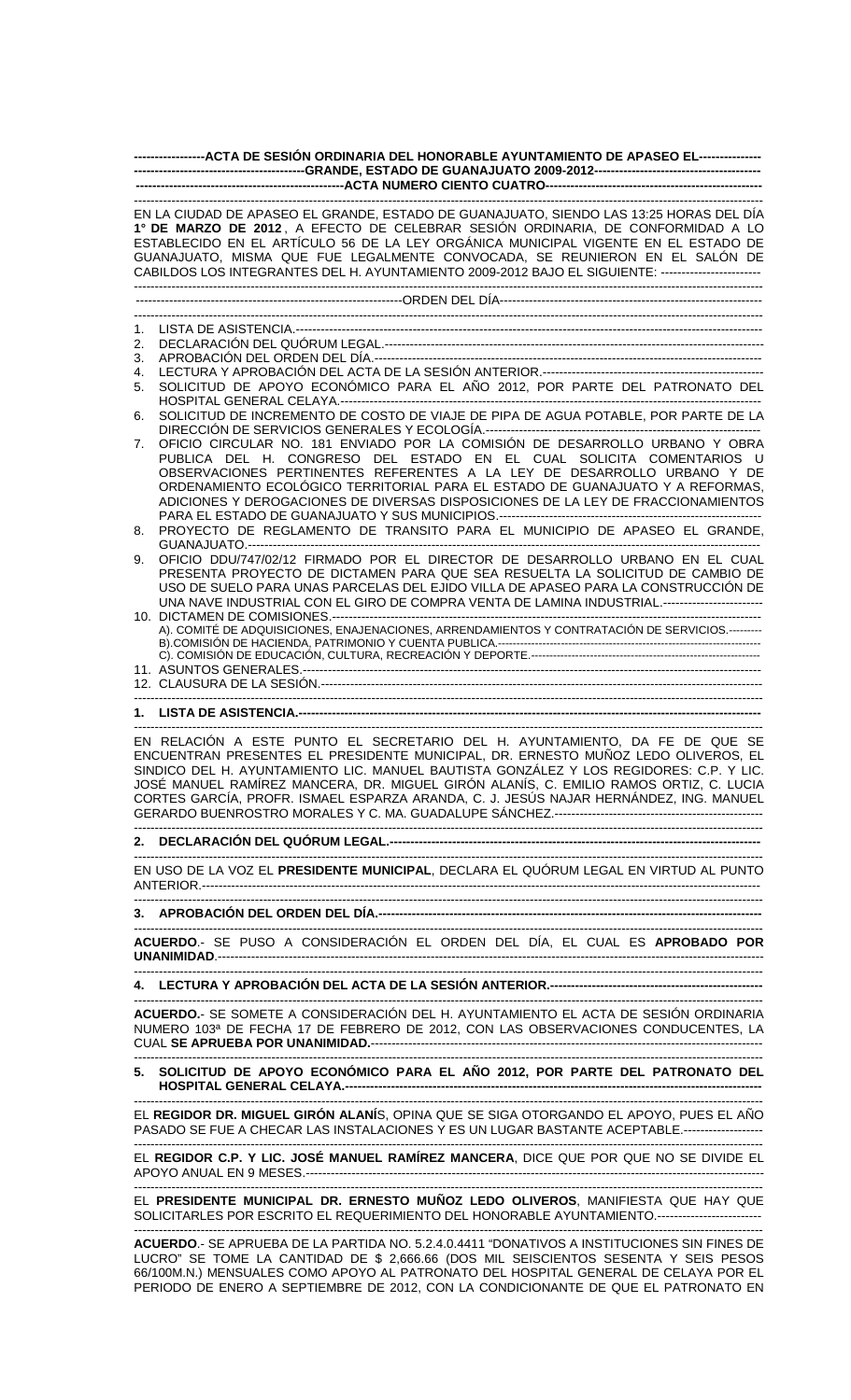| ------------------ACTA DE SESIÓN ORDINARIA DEL HONORABLE AYUNTAMIENTO DE APASEO EL----------------                                                                                                                                                                                                                                                                                                                                                   |                                                                                                                                                                                                                                                                                                                                                                                                     |  |  |  |  |
|------------------------------------------------------------------------------------------------------------------------------------------------------------------------------------------------------------------------------------------------------------------------------------------------------------------------------------------------------------------------------------------------------------------------------------------------------|-----------------------------------------------------------------------------------------------------------------------------------------------------------------------------------------------------------------------------------------------------------------------------------------------------------------------------------------------------------------------------------------------------|--|--|--|--|
|                                                                                                                                                                                                                                                                                                                                                                                                                                                      |                                                                                                                                                                                                                                                                                                                                                                                                     |  |  |  |  |
|                                                                                                                                                                                                                                                                                                                                                                                                                                                      |                                                                                                                                                                                                                                                                                                                                                                                                     |  |  |  |  |
| EN LA CIUDAD DE APASEO EL GRANDE, ESTADO DE GUANAJUATO, SIENDO LAS 13:25 HORAS DEL DÍA<br>1° DE MARZO DE 2012, A EFECTO DE CELEBRAR SESIÓN ORDINARIA, DE CONFORMIDAD A LO<br>ESTABLECIDO EN EL ARTÍCULO 56 DE LA LEY ORGÁNICA MUNICIPAL VIGENTE EN EL ESTADO DE<br>GUANAJUATO, MISMA QUE FUE LEGALMENTE CONVOCADA, SE REUNIERON EN EL SALÓN DE<br>CABILDOS LOS INTEGRANTES DEL H. AYUNTAMIENTO 2009-2012 BAJO EL SIGUIENTE: ------------------------ |                                                                                                                                                                                                                                                                                                                                                                                                     |  |  |  |  |
|                                                                                                                                                                                                                                                                                                                                                                                                                                                      |                                                                                                                                                                                                                                                                                                                                                                                                     |  |  |  |  |
|                                                                                                                                                                                                                                                                                                                                                                                                                                                      |                                                                                                                                                                                                                                                                                                                                                                                                     |  |  |  |  |
| 1.                                                                                                                                                                                                                                                                                                                                                                                                                                                   |                                                                                                                                                                                                                                                                                                                                                                                                     |  |  |  |  |
| 2.<br>3.                                                                                                                                                                                                                                                                                                                                                                                                                                             |                                                                                                                                                                                                                                                                                                                                                                                                     |  |  |  |  |
| 4.                                                                                                                                                                                                                                                                                                                                                                                                                                                   |                                                                                                                                                                                                                                                                                                                                                                                                     |  |  |  |  |
| 5.                                                                                                                                                                                                                                                                                                                                                                                                                                                   | SOLICITUD DE APOYO ECONÓMICO PARA EL AÑO 2012, POR PARTE DEL PATRONATO DEL                                                                                                                                                                                                                                                                                                                          |  |  |  |  |
| 6.                                                                                                                                                                                                                                                                                                                                                                                                                                                   | SOLICITUD DE INCREMENTO DE COSTO DE VIAJE DE PIPA DE AGUA POTABLE, POR PARTE DE LA                                                                                                                                                                                                                                                                                                                  |  |  |  |  |
| 7.                                                                                                                                                                                                                                                                                                                                                                                                                                                   | OFICIO CIRCULAR NO. 181 ENVIADO POR LA COMISIÓN DE DESARROLLO URBANO Y OBRA<br>PUBLICA DEL H. CONGRESO DEL ESTADO EN EL CUAL SOLICITA COMENTARIOS U<br>OBSERVACIONES PERTINENTES REFERENTES A LA LEY DE DESARROLLO URBANO Y DE<br>ORDENAMIENTO ECOLÓGICO TERRITORIAL PARA EL ESTADO DE GUANAJUATO Y A REFORMAS.<br>ADICIONES Y DEROGACIONES DE DIVERSAS DISPOSICIONES DE LA LEY DE FRACCIONAMIENTOS |  |  |  |  |
| 8.                                                                                                                                                                                                                                                                                                                                                                                                                                                   | PROYECTO DE REGLAMENTO DE TRANSITO PARA EL MUNICIPIO DE APASEO EL GRANDE.                                                                                                                                                                                                                                                                                                                           |  |  |  |  |
| 9.                                                                                                                                                                                                                                                                                                                                                                                                                                                   | OFICIO DDU/747/02/12 FIRMADO POR EL DIRECTOR DE DESARROLLO URBANO EN EL CUAL<br>PRESENTA PROYECTO DE DICTAMEN PARA QUE SEA RESUELTA LA SOLICITUD DE CAMBIO DE<br>USO DE SUELO PARA UNAS PARCELAS DEL EJIDO VILLA DE APASEO PARA LA CONSTRUCCIÓN DE<br>UNA NAVE INDUSTRIAL CON EL GIRO DE COMPRA VENTA DE LAMINA INDUSTRIAL.------------------------                                                 |  |  |  |  |
|                                                                                                                                                                                                                                                                                                                                                                                                                                                      | A). COMITÉ DE ADQUISICIONES, ENAJENACIONES, ARRENDAMIENTOS Y CONTRATACIÓN DE SERVICIOS.---------                                                                                                                                                                                                                                                                                                    |  |  |  |  |
|                                                                                                                                                                                                                                                                                                                                                                                                                                                      |                                                                                                                                                                                                                                                                                                                                                                                                     |  |  |  |  |
|                                                                                                                                                                                                                                                                                                                                                                                                                                                      |                                                                                                                                                                                                                                                                                                                                                                                                     |  |  |  |  |
|                                                                                                                                                                                                                                                                                                                                                                                                                                                      |                                                                                                                                                                                                                                                                                                                                                                                                     |  |  |  |  |
| EN RELACIÓN A ESTE PUNTO EL SECRETARIO DEL H. AYUNTAMIENTO, DA FE DE QUE SE<br>ENCUENTRAN PRESENTES EL PRESIDENTE MUNICIPAL, DR. ERNESTO MUÑOZ LEDO OLIVEROS, EL<br>SINDICO DEL H. AYUNTAMIENTO LIC. MANUEL BAUTISTA GONZÁLEZ Y LOS REGIDORES: C.P. Y LIC.<br>JOSÉ MANUEL RAMÍREZ MANCERA, DR. MIGUEL GIRÓN ALANÍS, C. EMILIO RAMOS ORTIZ, C. LUCIA<br>CORTES GARCÍA, PROFR. ISMAEL ESPARZA ARANDA, C. J. JESÚS NAJAR HERNÁNDEZ, ING. MANUEL         |                                                                                                                                                                                                                                                                                                                                                                                                     |  |  |  |  |
|                                                                                                                                                                                                                                                                                                                                                                                                                                                      |                                                                                                                                                                                                                                                                                                                                                                                                     |  |  |  |  |
| EN USO DE LA VOZ EL PRESIDENTE MUNICIPAL, DECLARA EL QUÓRUM LEGAL EN VIRTUD AL PUNTO                                                                                                                                                                                                                                                                                                                                                                 |                                                                                                                                                                                                                                                                                                                                                                                                     |  |  |  |  |
|                                                                                                                                                                                                                                                                                                                                                                                                                                                      |                                                                                                                                                                                                                                                                                                                                                                                                     |  |  |  |  |
| ACUERDO.- SE PUSO A CONSIDERACIÓN EL ORDEN DEL DÍA, EL CUAL ES APROBADO POR                                                                                                                                                                                                                                                                                                                                                                          |                                                                                                                                                                                                                                                                                                                                                                                                     |  |  |  |  |
|                                                                                                                                                                                                                                                                                                                                                                                                                                                      |                                                                                                                                                                                                                                                                                                                                                                                                     |  |  |  |  |
| ACUERDO.- SE SOMETE A CONSIDERACIÓN DEL H. AYUNTAMIENTO EL ACTA DE SESIÓN ORDINARIA<br>NUMERO 103ª DE FECHA 17 DE FEBRERO DE 2012, CON LAS OBSERVACIONES CONDUCENTES, LA                                                                                                                                                                                                                                                                             |                                                                                                                                                                                                                                                                                                                                                                                                     |  |  |  |  |
|                                                                                                                                                                                                                                                                                                                                                                                                                                                      | 5. SOLICITUD DE APOYO ECONÓMICO PARA EL AÑO 2012, POR PARTE DEL PATRONATO DEL                                                                                                                                                                                                                                                                                                                       |  |  |  |  |
| EL REGIDOR DR. MIGUEL GIRÓN ALANÍS, OPINA QUE SE SIGA OTORGANDO EL APOYO, PUES EL AÑO<br>PASADO SE FUE A CHECAR LAS INSTALACIONES Y ES UN LUGAR BASTANTE ACEPTABLE.-------------------                                                                                                                                                                                                                                                               |                                                                                                                                                                                                                                                                                                                                                                                                     |  |  |  |  |
| EL REGIDOR C.P. Y LIC. JOSÉ MANUEL RAMÍREZ MANCERA, DICE QUE POR QUE NO SE DIVIDE EL                                                                                                                                                                                                                                                                                                                                                                 |                                                                                                                                                                                                                                                                                                                                                                                                     |  |  |  |  |
| EL PRESIDENTE MUNICIPAL DR. ERNESTO MUÑOZ LEDO OLIVEROS, MANIFIESTA QUE HAY QUE<br>SOLICITARLES POR ESCRITO EL REQUERIMIENTO DEL HONORABLE AYUNTAMIENTO.-------------------------                                                                                                                                                                                                                                                                    |                                                                                                                                                                                                                                                                                                                                                                                                     |  |  |  |  |

**ACUERDO**.- SE APRUEBA DE LA PARTIDA NO. 5.2.4.0.4411 "DONATIVOS A INSTITUCIONES SIN FINES DE LUCRO" SE TOME LA CANTIDAD DE \$ 2,666.66 (DOS MIL SEISCIENTOS SESENTA Y SEIS PESOS 66/100M.N.) MENSUALES COMO APOYO AL PATRONATO DEL HOSPITAL GENERAL DE CELAYA POR EL PERIODO DE ENERO A SEPTIEMBRE DE 2012, CON LA CONDICIONANTE DE QUE EL PATRONATO EN

-------------------------------------------------------------------------------------------------------------------------------------------------------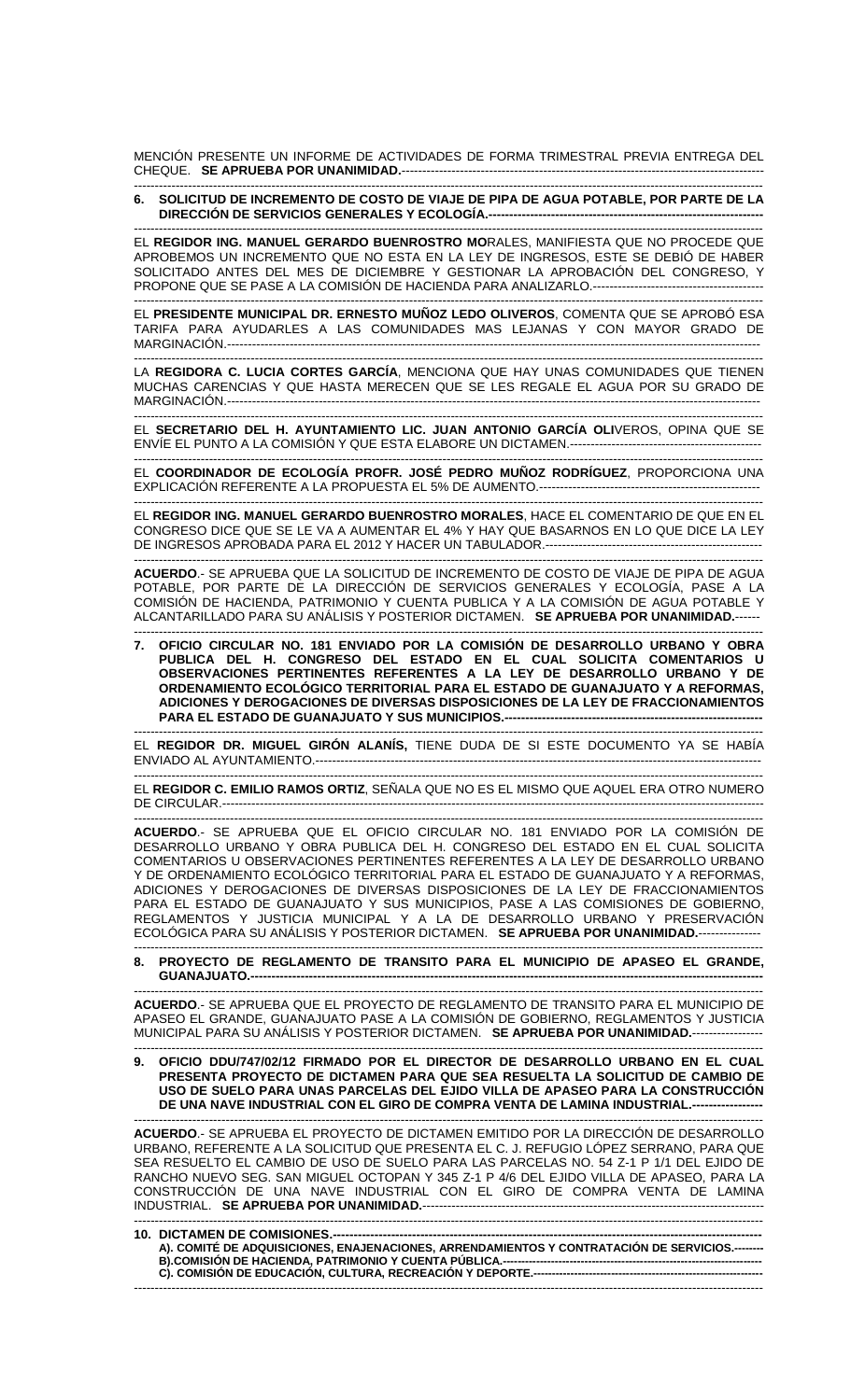MENCIÓN PRESENTE UN INFORME DE ACTIVIDADES DE FORMA TRIMESTRAL PREVIA ENTREGA DEL CHEQUE. **SE APRUEBA POR UNANIMIDAD.**---------------------------------------------------------------------------------------

### ------------------------------------------------------------------------------------------------------------------------------------------------------- **6. SOLICITUD DE INCREMENTO DE COSTO DE VIAJE DE PIPA DE AGUA POTABLE, POR PARTE DE LA DIRECCIÓN DE SERVICIOS GENERALES Y ECOLOGÍA.---**

------------------------------------------------------------------------------------------------------------------------------------------------------- EL **REGIDOR ING. MANUEL GERARDO BUENROSTRO MO**RALES, MANIFIESTA QUE NO PROCEDE QUE APROBEMOS UN INCREMENTO QUE NO ESTA EN LA LEY DE INGRESOS, ESTE SE DEBIÓ DE HABER SOLICITADO ANTES DEL MES DE DICIEMBRE Y GESTIONAR LA APROBACIÓN DEL CONGRESO, Y PROPONE QUE SE PASE A LA COMISIÓN DE HACIENDA PARA ANALIZARLO.-----------------------------------------

------------------------------------------------------------------------------------------------------------------------------------------------------- EL **PRESIDENTE MUNICIPAL DR. ERNESTO MUÑOZ LEDO OLIVEROS**, COMENTA QUE SE APROBÓ ESA TARIFA PARA AYUDARLES A LAS COMUNIDADES MAS LEJANAS Y CON MAYOR GRADO DE MARGINACIÓN.--------------------------------------------------------------------------------------------------------------------------------

------------------------------------------------------------------------------------------------------------------------------------------------------- LA **REGIDORA C. LUCIA CORTES GARCÍA**, MENCIONA QUE HAY UNAS COMUNIDADES QUE TIENEN MUCHAS CARENCIAS Y QUE HASTA MERECEN QUE SE LES REGALE EL AGUA POR SU GRADO DE  $MARGINACIÓN. - - - - - -$ 

------------------------------------------------------------------------------------------------------------------------------------------------------- EL **SECRETARIO DEL H. AYUNTAMIENTO LIC. JUAN ANTONIO GARCÍA OLI**VEROS, OPINA QUE SE ENVÍE EL PUNTO A LA COMISIÓN Y QUE ESTA ELABORE UN DICTAMEN.----------------------------------------------

------------------------------------------------------------------------------------------------------------------------------------------------------- EL **COORDINADOR DE ECOLOGÍA PROFR. JOSÉ PEDRO MUÑOZ RODRÍGUEZ**, PROPORCIONA UNA EXPLICACIÓN REFERENTE A LA PROPUESTA EL 5% DE AUMENTO.----------------------------------------------------- -------------------------------------------------------------------------------------------------------------------------------------------------------

EL **REGIDOR ING. MANUEL GERARDO BUENROSTRO MORALES**, HACE EL COMENTARIO DE QUE EN EL CONGRESO DICE QUE SE LE VA A AUMENTAR EL 4% Y HAY QUE BASARNOS EN LO QUE DICE LA LEY DE INGRESOS APROBADA PARA EL 2012 Y HACER UN TABULADOR.-------

------------------------------------------------------------------------------------------------------------------------------------------------------- **ACUERDO**.- SE APRUEBA QUE LA SOLICITUD DE INCREMENTO DE COSTO DE VIAJE DE PIPA DE AGUA POTABLE, POR PARTE DE LA DIRECCIÓN DE SERVICIOS GENERALES Y ECOLOGÍA, PASE A LA COMISIÓN DE HACIENDA, PATRIMONIO Y CUENTA PUBLICA Y A LA COMISIÓN DE AGUA POTABLE Y ALCANTARILLADO PARA SU ANÁLISIS Y POSTERIOR DICTAMEN. **SE APRUEBA POR UNANIMIDAD.**------

------------------------------------------------------------------------------------------------------------------------------------------------------- **7. OFICIO CIRCULAR NO. 181 ENVIADO POR LA COMISIÓN DE DESARROLLO URBANO Y OBRA PUBLICA DEL H. CONGRESO DEL ESTADO EN EL CUAL SOLICITA COMENTARIOS U OBSERVACIONES PERTINENTES REFERENTES A LA LEY DE DESARROLLO URBANO Y DE ORDENAMIENTO ECOLÓGICO TERRITORIAL PARA EL ESTADO DE GUANAJUATO Y A REFORMAS, ADICIONES Y DEROGACIONES DE DIVERSAS DISPOSICIONES DE LA LEY DE FRACCIONAMIENTOS PARA EL ESTADO DE GUANAJUATO Y SUS MUNICIPIOS.-**

------------------------------------------------------------------------------------------------------------------------------------------------------- EL **REGIDOR DR. MIGUEL GIRÓN ALANÍS,** TIENE DUDA DE SI ESTE DOCUMENTO YA SE HABÍA ENVIADO AL AYUNTAMIENTO.----------------------

------------------------------------------------------------------------------------------------------------------------------------------------------- EL **REGIDOR C. EMILIO RAMOS ORTIZ**, SEÑALA QUE NO ES EL MISMO QUE AQUEL ERA OTRO NUMERO DE CIRCULAR.----------------------------------------------------------------------------------------------------------------------------------

------------------------------------------------------------------------------------------------------------------------------------------------------- **ACUERDO**.- SE APRUEBA QUE EL OFICIO CIRCULAR NO. 181 ENVIADO POR LA COMISIÓN DE DESARROLLO URBANO Y OBRA PUBLICA DEL H. CONGRESO DEL ESTADO EN EL CUAL SOLICITA COMENTARIOS U OBSERVACIONES PERTINENTES REFERENTES A LA LEY DE DESARROLLO URBANO Y DE ORDENAMIENTO ECOLÓGICO TERRITORIAL PARA EL ESTADO DE GUANAJUATO Y A REFORMAS, ADICIONES Y DEROGACIONES DE DIVERSAS DISPOSICIONES DE LA LEY DE FRACCIONAMIENTOS PARA EL ESTADO DE GUANAJUATO Y SUS MUNICIPIOS, PASE A LAS COMISIONES DE GOBIERNO, REGLAMENTOS Y JUSTICIA MUNICIPAL Y A LA DE DESARROLLO URBANO Y PRESERVACIÓN ECOLÓGICA PARA SU ANÁLISIS Y POSTERIOR DICTAMEN. **SE APRUEBA POR UNANIMIDAD.**---------------

------------------------------------------------------------------------------------------------------------------------------------------------------- **8. PROYECTO DE REGLAMENTO DE TRANSITO PARA EL MUNICIPIO DE APASEO EL GRANDE, GUANAJUATO.--**

------------------------------------------------------------------------------------------------------------------------------------------------------- **ACUERDO**.- SE APRUEBA QUE EL PROYECTO DE REGLAMENTO DE TRANSITO PARA EL MUNICIPIO DE APASEO EL GRANDE, GUANAJUATO PASE A LA COMISION DE GOBIERNO, REGLAMENTOS Y JUSTICIA MUNICIPAL PARA SU ANÁLISIS Y POSTERIOR DICTAMEN. **SE APRUEBA POR UNANIMIDAD.**----------------- -------------------------------------------------------------------------------------------------------------------------------------------------------

**9. OFICIO DDU/747/02/12 FIRMADO POR EL DIRECTOR DE DESARROLLO URBANO EN EL CUAL PRESENTA PROYECTO DE DICTAMEN PARA QUE SEA RESUELTA LA SOLICITUD DE CAMBIO DE USO DE SUELO PARA UNAS PARCELAS DEL EJIDO VILLA DE APASEO PARA LA CONSTRUCCIÓN**  DE UNA NAVE INDUSTRIAL CON EL GIRO DE COMPRA VENTA DE LAMINA INDUSTRIAL.-

------------------------------------------------------------------------------------------------------------------------------------------------------- **ACUERDO**.- SE APRUEBA EL PROYECTO DE DICTAMEN EMITIDO POR LA DIRECCIÓN DE DESARROLLO URBANO, REFERENTE A LA SOLICITUD QUE PRESENTA EL C. J. REFUGIO LÓPEZ SERRANO, PARA QUE SEA RESUELTO EL CAMBIO DE USO DE SUELO PARA LAS PARCELAS NO. 54 Z-1 P 1/1 DEL EJIDO DE RANCHO NUEVO SEG. SAN MIGUEL OCTOPAN Y 345 Z-1 P 4/6 DEL EJIDO VILLA DE APASEO, PARA LA CONSTRUCCIÓN DE UNA NAVE INDUSTRIAL CON EL GIRO DE COMPRA VENTA DE LAMINA INDUSTRIAL. **SE APRUEBA POR UNANIMIDAD.**----------------------------------------------------------------------------------

------------------------------------------------------------------------------------------------------------------------------------------------------- **10. DICTAMEN DE COMISIONES.-**A). COMITÉ DE ADQUISICIONES, ENAJENACIONES, ARRENDAMIENTOS Y CONTRATACIÓN DE SERVICIOS.--B).COMISIÓN DE HACIENDA, PATRIMONIO Y CUENTA PÚBLICA.---**C). COMISIÓN DE EDUCACIÓN, CULTURA, RECREACIÓN Y DEPORTE.--------------------------------------------------------------**  -------------------------------------------------------------------------------------------------------------------------------------------------------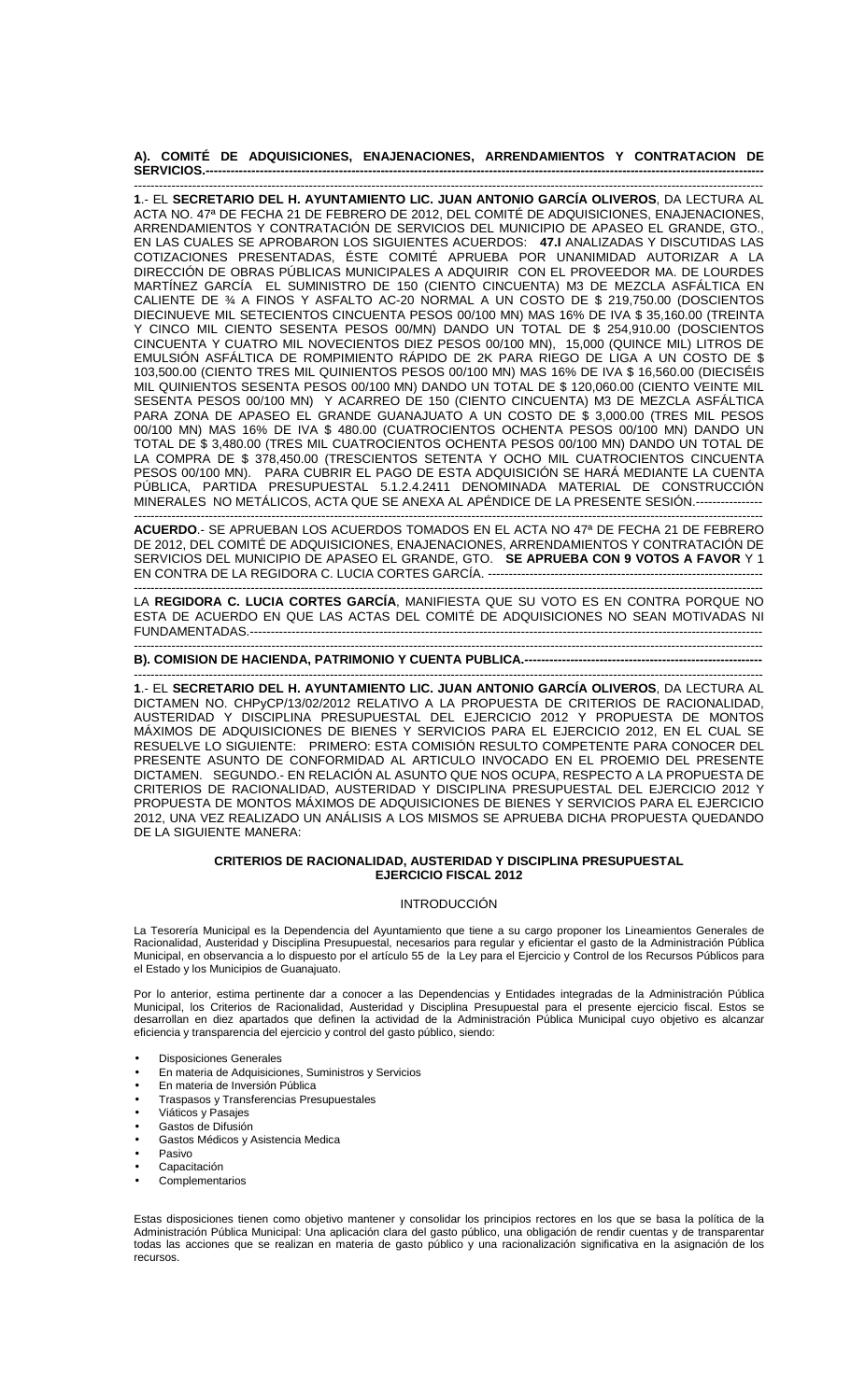### **A). COMITÉ DE ADQUISICIONES, ENAJENACIONES, ARRENDAMIENTOS Y CONTRATACION DE SERVICIOS.--------------------------------------------------------------------------------------------------------------------------------------**

------------------------------------------------------------------------------------------------------------------------------------------------------- **1**.- EL **SECRETARIO DEL H. AYUNTAMIENTO LIC. JUAN ANTONIO GARCÍA OLIVEROS**, DA LECTURA AL ACTA NO. 47ª DE FECHA 21 DE FEBRERO DE 2012, DEL COMITÉ DE ADQUISICIONES, ENAJENACIONES, ARRENDAMIENTOS Y CONTRATACIÓN DE SERVICIOS DEL MUNICIPIO DE APASEO EL GRANDE, GTO., EN LAS CUALES SE APROBARON LOS SIGUIENTES ACUERDOS: **47.I** ANALIZADAS Y DISCUTIDAS LAS COTIZACIONES PRESENTADAS, ÉSTE COMITÉ APRUEBA POR UNANIMIDAD AUTORIZAR A LA DIRECCIÓN DE OBRAS PÚBLICAS MUNICIPALES A ADQUIRIR CON EL PROVEEDOR MA. DE LOURDES MARTÍNEZ GARCÍA EL SUMINISTRO DE 150 (CIENTO CINCUENTA) M3 DE MEZCLA ASFÁLTICA EN CALIENTE DE ¾ A FINOS Y ASFALTO AC-20 NORMAL A UN COSTO DE \$ 219,750.00 (DOSCIENTOS DIECINUEVE MIL SETECIENTOS CINCUENTA PESOS 00/100 MN) MAS 16% DE IVA \$ 35,160.00 (TREINTA Y CINCO MIL CIENTO SESENTA PESOS 00/MN) DANDO UN TOTAL DE \$ 254,910.00 (DOSCIENTOS CINCUENTA Y CUATRO MIL NOVECIENTOS DIEZ PESOS 00/100 MN), 15,000 (QUINCE MIL) LITROS DE EMULSIÓN ASFÁLTICA DE ROMPIMIENTO RÁPIDO DE 2K PARA RIEGO DE LIGA A UN COSTO DE \$ 103,500.00 (CIENTO TRES MIL QUINIENTOS PESOS 00/100 MN) MAS 16% DE IVA \$ 16,560.00 (DIECISÉIS MIL QUINIENTOS SESENTA PESOS 00/100 MN) DANDO UN TOTAL DE \$ 120,060.00 (CIENTO VEINTE MIL SESENTA PESOS 00/100 MN) Y ACARREO DE 150 (CIENTO CINCUENTA) M3 DE MEZCLA ASFÁLTICA PARA ZONA DE APASEO EL GRANDE GUANAJUATO A UN COSTO DE \$ 3,000.00 (TRES MIL PESOS 00/100 MN) MAS 16% DE IVA \$ 480.00 (CUATROCIENTOS OCHENTA PESOS 00/100 MN) DANDO UN TOTAL DE \$ 3,480.00 (TRES MIL CUATROCIENTOS OCHENTA PESOS 00/100 MN) DANDO UN TOTAL DE LA COMPRA DE \$ 378,450.00 (TRESCIENTOS SETENTA Y OCHO MIL CUATROCIENTOS CINCUENTA PESOS 00/100 MN). PARA CUBRIR EL PAGO DE ESTA ADQUISICIÓN SE HARÁ MEDIANTE LA CUENTA PÚBLICA, PARTIDA PRESUPUESTAL 5.1.2.4.2411 DENOMINADA MATERIAL DE CONSTRUCCIÓN MINERALES NO METÁLICOS, ACTA QUE SE ANEXA AL APÉNDICE DE LA PRESENTE SESIÓN.----------------

------------------------------------------------------------------------------------------------------------------------------------------------------- **ACUERDO**.- SE APRUEBAN LOS ACUERDOS TOMADOS EN EL ACTA NO 47ª DE FECHA 21 DE FEBRERO DE 2012, DEL COMITÉ DE ADQUISICIONES, ENAJENACIONES, ARRENDAMIENTOS Y CONTRATACIÓN DE SERVICIOS DEL MUNICIPIO DE APASEO EL GRANDE, GTO. **SE APRUEBA CON 9 VOTOS A FAVOR** Y 1 EN CONTRA DE LA REGIDORA C. LUCIA CORTES GARCÍA. -----

------------------------------------------------------------------------------------------------------------------------------------------------------- LA **REGIDORA C. LUCIA CORTES GARCÍA**, MANIFIESTA QUE SU VOTO ES EN CONTRA PORQUE NO ESTA DE ACUERDO EN QUE LAS ACTAS DEL COMITÉ DE ADQUISICIONES NO SEAN MOTIVADAS NI FUNDAMENTADAS.---

#### ------------------------------------------------------------------------------------------------------------------------------------------------------- **B). COMISION DE HACIENDA, PATRIMONIO Y CUENTA PUBLICA.--**

------------------------------------------------------------------------------------------------------------------------------------------------------- **1**.- EL **SECRETARIO DEL H. AYUNTAMIENTO LIC. JUAN ANTONIO GARCÍA OLIVEROS**, DA LECTURA AL DICTAMEN NO. CHPyCP/13/02/2012 RELATIVO A LA PROPUESTA DE CRITERIOS DE RACIONALIDAD, AUSTERIDAD Y DISCIPLINA PRESUPUESTAL DEL EJERCICIO 2012 Y PROPUESTA DE MONTOS MÁXIMOS DE ADQUISICIONES DE BIENES Y SERVICIOS PARA EL EJERCICIO 2012, EN EL CUAL SE RESUELVE LO SIGUIENTE: PRIMERO: ESTA COMISIÓN RESULTO COMPETENTE PARA CONOCER DEL PRESENTE ASUNTO DE CONFORMIDAD AL ARTICULO INVOCADO EN EL PROEMIO DEL PRESENTE DICTAMEN. SEGUNDO.- EN RELACIÓN AL ASUNTO QUE NOS OCUPA, RESPECTO A LA PROPUESTA DE CRITERIOS DE RACIONALIDAD, AUSTERIDAD Y DISCIPLINA PRESUPUESTAL DEL EJERCICIO 2012 Y PROPUESTA DE MONTOS MÁXIMOS DE ADQUISICIONES DE BIENES Y SERVICIOS PARA EL EJERCICIO 2012, UNA VEZ REALIZADO UN ANÁLISIS A LOS MISMOS SE APRUEBA DICHA PROPUESTA QUEDANDO DE LA SIGUIENTE MANERA:

## **CRITERIOS DE RACIONALIDAD, AUSTERIDAD Y DISCIPLINA PRESUPUESTAL EJERCICIO FISCAL 2012**

## INTRODUCCIÓN

La Tesorería Municipal es la Dependencia del Ayuntamiento que tiene a su cargo proponer los Lineamientos Generales de Racionalidad, Austeridad y Disciplina Presupuestal, necesarios para regular y eficientar el gasto de la Administración Pública Municipal, en observancia a lo dispuesto por el artículo 55 de la Ley para el Ejercicio y Control de los Recursos Públicos para el Estado y los Municipios de Guanajuato.

Por lo anterior, estima pertinente dar a conocer a las Dependencias y Entidades integradas de la Administración Pública Municipal, los Criterios de Racionalidad, Austeridad y Disciplina Presupuestal para el presente ejercicio fiscal. Estos se desarrollan en diez apartados que definen la actividad de la Administración Pública Municipal cuyo objetivo es alcanzar eficiencia y transparencia del ejercicio y control del gasto público, siendo:

- Disposiciones Generales
- En materia de Adquisiciones, Suministros y Servicios
- En materia de Inversión Pública
- Traspasos y Transferencias Presupuestales
- Viáticos y Pasajes
- Gastos de Difusión
- Gastos Médicos y Asistencia Medica
- Pasivo
- **Capacitación**
- **Complementarios**

Estas disposiciones tienen como objetivo mantener y consolidar los principios rectores en los que se basa la política de la Administración Pública Municipal: Una aplicación clara del gasto público, una obligación de rendir cuentas y de transparentar todas las acciones que se realizan en materia de gasto público y una racionalización significativa en la asignación de los recursos.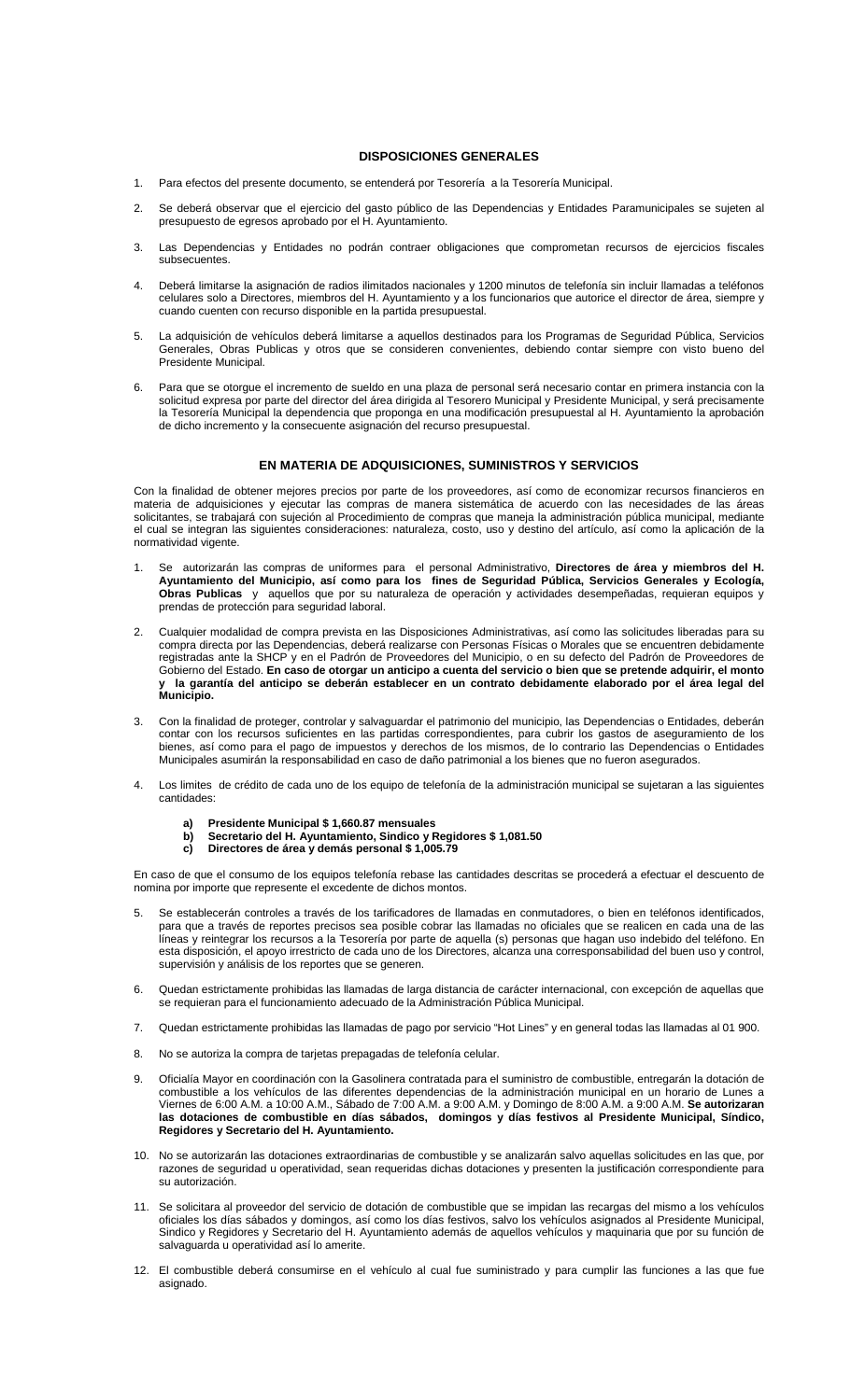### **DISPOSICIONES GENERALES**

- 1. Para efectos del presente documento, se entenderá por Tesorería a la Tesorería Municipal.
- 2. Se deberá observar que el ejercicio del gasto público de las Dependencias y Entidades Paramunicipales se sujeten al presupuesto de egresos aprobado por el H. Ayuntamiento.
- 3. Las Dependencias y Entidades no podrán contraer obligaciones que comprometan recursos de ejercicios fiscales subsecuentes.
- 4. Deberá limitarse la asignación de radios ilimitados nacionales y 1200 minutos de telefonía sin incluir llamadas a teléfonos celulares solo a Directores, miembros del H. Ayuntamiento y a los funcionarios que autorice el director de área, siempre y cuando cuenten con recurso disponible en la partida presupuestal.
- 5. La adquisición de vehículos deberá limitarse a aquellos destinados para los Programas de Seguridad Pública, Servicios Generales, Obras Publicas y otros que se consideren convenientes, debiendo contar siempre con visto bueno del Presidente Municipal.
- 6. Para que se otorgue el incremento de sueldo en una plaza de personal será necesario contar en primera instancia con la solicitud expresa por parte del director del área dirigida al Tesorero Municipal y Presidente Municipal, y será precisamente la Tesorería Municipal la dependencia que proponga en una modificación presupuestal al H. Ayuntamiento la aprobación de dicho incremento y la consecuente asignación del recurso presupuestal.

### **EN MATERIA DE ADQUISICIONES, SUMINISTROS Y SERVICIOS**

Con la finalidad de obtener mejores precios por parte de los proveedores, así como de economizar recursos financieros en materia de adquisiciones y ejecutar las compras de manera sistemática de acuerdo con las necesidades de las áreas solicitantes, se trabajará con sujeción al Procedimiento de compras que maneja la administración pública municipal, mediante el cual se integran las siguientes consideraciones: naturaleza, costo, uso y destino del artículo, así como la aplicación de la normatividad vigente.

- 1. Se autorizarán las compras de uniformes para el personal Administrativo, **Directores de área y miembros del H. Ayuntamiento del Municipio, así como para los fines de Seguridad Pública, Servicios Generales y Ecología, Obras Publicas** y aquellos que por su naturaleza de operación y actividades desempeñadas, requieran equipos y prendas de protección para seguridad laboral.
- 2. Cualquier modalidad de compra prevista en las Disposiciones Administrativas, así como las solicitudes liberadas para su compra directa por las Dependencias, deberá realizarse con Personas Físicas o Morales que se encuentren debidamente registradas ante la SHCP y en el Padrón de Proveedores del Municipio, o en su defecto del Padrón de Proveedores de Gobierno del Estado. **En caso de otorgar un anticipo a cuenta del servicio o bien que se pretende adquirir, el monto y la garantía del anticipo se deberán establecer en un contrato debidamente elaborado por el área legal del Municipio.**
- 3. Con la finalidad de proteger, controlar y salvaguardar el patrimonio del municipio, las Dependencias o Entidades, deberán contar con los recursos suficientes en las partidas correspondientes, para cubrir los gastos de aseguramiento de los bienes, así como para el pago de impuestos y derechos de los mismos, de lo contrario las Dependencias o Entidades Municipales asumirán la responsabilidad en caso de daño patrimonial a los bienes que no fueron asegurados.
- 4. Los limites de crédito de cada uno de los equipo de telefonía de la administración municipal se sujetaran a las siguientes cantidades:
	- **a) Presidente Municipal \$ 1,660.87 mensuales**
	- **b) Secretario del H. Ayuntamiento, Sindico y Regidores \$ 1,081.50**
	- **c) Directores de área y demás personal \$ 1,005.79**

En caso de que el consumo de los equipos telefonía rebase las cantidades descritas se procederá a efectuar el descuento de nomina por importe que represente el excedente de dichos montos.

- 5. Se establecerán controles a través de los tarificadores de llamadas en conmutadores, o bien en teléfonos identificados, para que a través de reportes precisos sea posible cobrar las llamadas no oficiales que se realicen en cada una de las líneas y reintegrar los recursos a la Tesorería por parte de aquella (s) personas que hagan uso indebido del teléfono. En esta disposición, el apoyo irrestricto de cada uno de los Directores, alcanza una corresponsabilidad del buen uso y control, supervisión y análisis de los reportes que se generen.
- 6. Quedan estrictamente prohibidas las llamadas de larga distancia de carácter internacional, con excepción de aquellas que se requieran para el funcionamiento adecuado de la Administración Pública Municipal.
- 7. Quedan estrictamente prohibidas las llamadas de pago por servicio "Hot Lines" y en general todas las llamadas al 01 900.
- 8. No se autoriza la compra de tarjetas prepagadas de telefonía celular.
- 9. Oficialía Mayor en coordinación con la Gasolinera contratada para el suministro de combustible, entregarán la dotación de combustible a los vehículos de las diferentes dependencias de la administración municipal en un horario de Lunes a Viernes de 6:00 A.M. a 10:00 A.M., Sábado de 7:00 A.M. a 9:00 A.M. y Domingo de 8:00 A.M. a 9:00 A.M. **Se autorizaran las dotaciones de combustible en días sábados, domingos y días festivos al Presidente Municipal, Síndico, Regidores y Secretario del H. Ayuntamiento.**
- 10. No se autorizarán las dotaciones extraordinarias de combustible y se analizarán salvo aquellas solicitudes en las que, por razones de seguridad u operatividad, sean requeridas dichas dotaciones y presenten la justificación correspondiente para su autorización.
- 11. Se solicitara al proveedor del servicio de dotación de combustible que se impidan las recargas del mismo a los vehículos oficiales los días sábados y domingos, así como los días festivos, salvo los vehículos asignados al Presidente Municipal, Sindico y Regidores y Secretario del H. Ayuntamiento además de aquellos vehículos y maquinaria que por su función de salvaguarda u operatividad así lo amerite.
- 12. El combustible deberá consumirse en el vehículo al cual fue suministrado y para cumplir las funciones a las que fue asignado.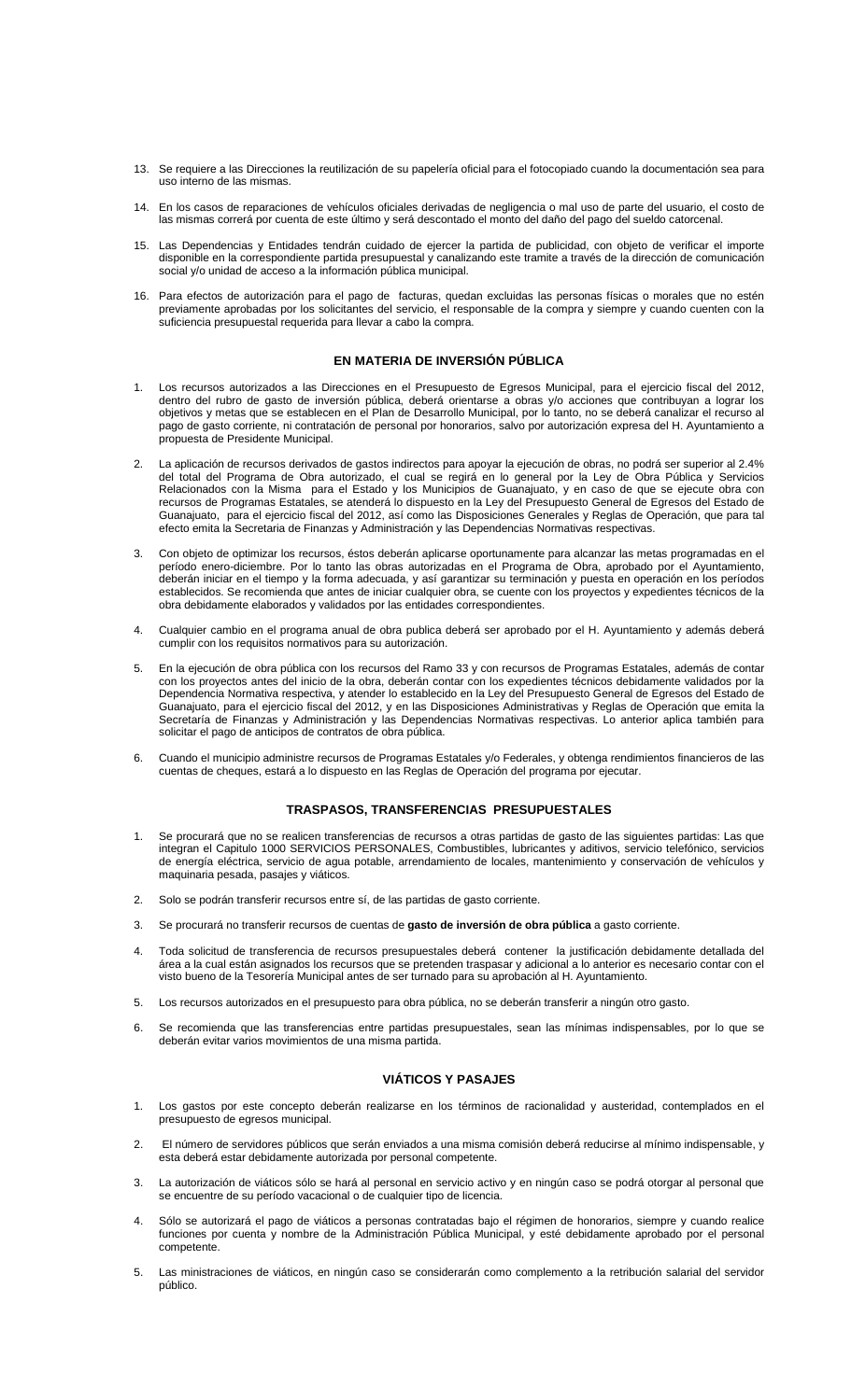- 13. Se requiere a las Direcciones la reutilización de su papelería oficial para el fotocopiado cuando la documentación sea para uso interno de las mismas.
- 14. En los casos de reparaciones de vehículos oficiales derivadas de negligencia o mal uso de parte del usuario, el costo de las mismas correrá por cuenta de este último y será descontado el monto del daño del pago del sueldo catorcenal.
- 15. Las Dependencias y Entidades tendrán cuidado de ejercer la partida de publicidad, con objeto de verificar el importe disponible en la correspondiente partida presupuestal y canalizando este tramite a través de la dirección de comunicación social y/o unidad de acceso a la información pública municipal.
- 16. Para efectos de autorización para el pago de facturas, quedan excluidas las personas físicas o morales que no estén previamente aprobadas por los solicitantes del servicio, el responsable de la compra y siempre y cuando cuenten con la suficiencia presupuestal requerida para llevar a cabo la compra.

## **EN MATERIA DE INVERSIÓN PÚBLICA**

- 1. Los recursos autorizados a las Direcciones en el Presupuesto de Egresos Municipal, para el ejercicio fiscal del 2012, dentro del rubro de gasto de inversión pública, deberá orientarse a obras y/o acciones que contribuyan a lograr los objetivos y metas que se establecen en el Plan de Desarrollo Municipal, por lo tanto, no se deberá canalizar el recurso al pago de gasto corriente, ni contratación de personal por honorarios, salvo por autorización expresa del H. Ayuntamiento a propuesta de Presidente Municipal.
- 2. La aplicación de recursos derivados de gastos indirectos para apoyar la ejecución de obras, no podrá ser superior al 2.4% del total del Programa de Obra autorizado, el cual se regirá en lo general por la Ley de Obra Pública y Servicios Relacionados con la Misma para el Estado y los Municipios de Guanajuato, y en caso de que se ejecute obra con recursos de Programas Estatales, se atenderá lo dispuesto en la Ley del Presupuesto General de Egresos del Estado de Guanajuato, para el ejercicio fiscal del 2012, así como las Disposiciones Generales y Reglas de Operación, que para tal efecto emita la Secretaria de Finanzas y Administración y las Dependencias Normativas respectivas.
- 3. Con objeto de optimizar los recursos, éstos deberán aplicarse oportunamente para alcanzar las metas programadas en el período enero-diciembre. Por lo tanto las obras autorizadas en el Programa de Obra, aprobado por el Ayuntamiento, deberán iniciar en el tiempo y la forma adecuada, y así garantizar su terminación y puesta en operación en los períodos establecidos. Se recomienda que antes de iniciar cualquier obra, se cuente con los proyectos y expedientes técnicos de la obra debidamente elaborados y validados por las entidades correspondientes.
- 4. Cualquier cambio en el programa anual de obra publica deberá ser aprobado por el H. Ayuntamiento y además deberá cumplir con los requisitos normativos para su autorización.
- 5. En la ejecución de obra pública con los recursos del Ramo 33 y con recursos de Programas Estatales, además de contar con los proyectos antes del inicio de la obra, deberán contar con los expedientes técnicos debidamente validados por la Dependencia Normativa respectiva, y atender lo establecido en la Ley del Presupuesto General de Egresos del Estado de Guanajuato, para el ejercicio fiscal del 2012, y en las Disposiciones Administrativas y Reglas de Operación que emita la Secretaría de Finanzas y Administración y las Dependencias Normativas respectivas. Lo anterior aplica también para solicitar el pago de anticipos de contratos de obra pública.
- 6. Cuando el municipio administre recursos de Programas Estatales y/o Federales, y obtenga rendimientos financieros de las cuentas de cheques, estará a lo dispuesto en las Reglas de Operación del programa por ejecutar.

## **TRASPASOS, TRANSFERENCIAS PRESUPUESTALES**

- 1. Se procurará que no se realicen transferencias de recursos a otras partidas de gasto de las siguientes partidas: Las que integran el Capitulo 1000 SERVICIOS PERSONALES, Combustibles, lubricantes y aditivos, servicio telefónico, servicios de energía eléctrica, servicio de agua potable, arrendamiento de locales, mantenimiento y conservación de vehículos y maquinaria pesada, pasajes y viáticos.
- 2. Solo se podrán transferir recursos entre sí, de las partidas de gasto corriente.
- 3. Se procurará no transferir recursos de cuentas de **gasto de inversión de obra pública** a gasto corriente.
- 4. Toda solicitud de transferencia de recursos presupuestales deberá contener la justificación debidamente detallada del área a la cual están asignados los recursos que se pretenden traspasar y adicional a lo anterior es necesario contar con el visto bueno de la Tesorería Municipal antes de ser turnado para su aprobación al H. Ayuntamiento.
- 5. Los recursos autorizados en el presupuesto para obra pública, no se deberán transferir a ningún otro gasto.
- 6. Se recomienda que las transferencias entre partidas presupuestales, sean las mínimas indispensables, por lo que se deberán evitar varios movimientos de una misma partida.

## **VIÁTICOS Y PASAJES**

- 1. Los gastos por este concepto deberán realizarse en los términos de racionalidad y austeridad, contemplados en el presupuesto de egresos municipal.
- 2. El número de servidores públicos que serán enviados a una misma comisión deberá reducirse al mínimo indispensable, y esta deberá estar debidamente autorizada por personal competente.
- 3. La autorización de viáticos sólo se hará al personal en servicio activo y en ningún caso se podrá otorgar al personal que se encuentre de su período vacacional o de cualquier tipo de licencia.
- 4. Sólo se autorizará el pago de viáticos a personas contratadas bajo el régimen de honorarios, siempre y cuando realice funciones por cuenta y nombre de la Administración Pública Municipal, y esté debidamente aprobado por el personal competente.
- 5. Las ministraciones de viáticos, en ningún caso se considerarán como complemento a la retribución salarial del servidor público.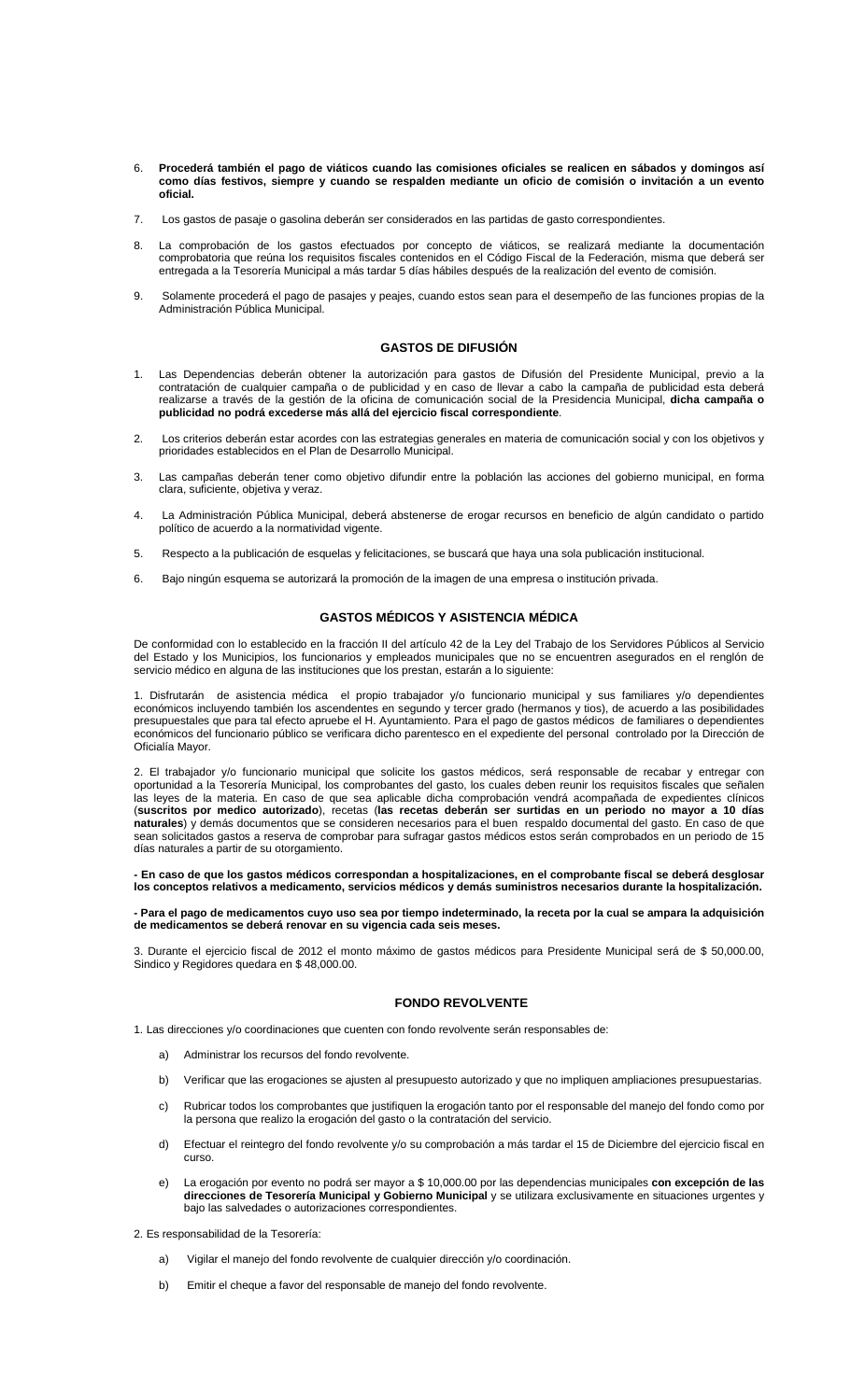- 6. **Procederá también el pago de viáticos cuando las comisiones oficiales se realicen en sábados y domingos así como días festivos, siempre y cuando se respalden mediante un oficio de comisión o invitación a un evento oficial.**
- 7. Los gastos de pasaje o gasolina deberán ser considerados en las partidas de gasto correspondientes.
- 8. La comprobación de los gastos efectuados por concepto de viáticos, se realizará mediante la documentación comprobatoria que reúna los requisitos fiscales contenidos en el Código Fiscal de la Federación, misma que deberá ser entregada a la Tesorería Municipal a más tardar 5 días hábiles después de la realización del evento de comisión.
- 9. Solamente procederá el pago de pasajes y peajes, cuando estos sean para el desempeño de las funciones propias de la Administración Pública Municipal.

#### **GASTOS DE DIFUSIÓN**

- 1. Las Dependencias deberán obtener la autorización para gastos de Difusión del Presidente Municipal, previo a la contratación de cualquier campaña o de publicidad y en caso de llevar a cabo la campaña de publicidad esta deberá realizarse a través de la gestión de la oficina de comunicación social de la Presidencia Municipal, **dicha campaña o publicidad no podrá excederse más allá del ejercicio fiscal correspondiente**.
- 2. Los criterios deberán estar acordes con las estrategias generales en materia de comunicación social y con los objetivos y prioridades establecidos en el Plan de Desarrollo Municipal.
- 3. Las campañas deberán tener como objetivo difundir entre la población las acciones del gobierno municipal, en forma clara, suficiente, objetiva y veraz.
- 4. La Administración Pública Municipal, deberá abstenerse de erogar recursos en beneficio de algún candidato o partido político de acuerdo a la normatividad vigente.
- 5. Respecto a la publicación de esquelas y felicitaciones, se buscará que haya una sola publicación institucional.
- 6. Bajo ningún esquema se autorizará la promoción de la imagen de una empresa o institución privada.

## **GASTOS MÉDICOS Y ASISTENCIA MÉDICA**

De conformidad con lo establecido en la fracción II del artículo 42 de la Ley del Trabajo de los Servidores Públicos al Servicio del Estado y los Municipios, los funcionarios y empleados municipales que no se encuentren asegurados en el renglón de servicio médico en alguna de las instituciones que los prestan, estarán a lo siguiente:

1. Disfrutarán de asistencia médica el propio trabajador y/o funcionario municipal y sus familiares y/o dependientes económicos incluyendo también los ascendentes en segundo y tercer grado (hermanos y tios), de acuerdo a las posibilidades presupuestales que para tal efecto apruebe el H. Ayuntamiento. Para el pago de gastos médicos de familiares o dependientes económicos del funcionario público se verificara dicho parentesco en el expediente del personal controlado por la Dirección de Oficialía Mayor.

2. El trabajador y/o funcionario municipal que solicite los gastos médicos, será responsable de recabar y entregar con oportunidad a la Tesorería Municipal, los comprobantes del gasto, los cuales deben reunir los requisitos fiscales que señalen las leyes de la materia. En caso de que sea aplicable dicha comprobación vendrá acompañada de expedientes clínicos (**suscritos por medico autorizado**), recetas (**las recetas deberán ser surtidas en un periodo no mayor a 10 días naturales**) y demás documentos que se consideren necesarios para el buen respaldo documental del gasto. En caso de que sean solicitados gastos a reserva de comprobar para sufragar gastos médicos estos serán comprobados en un periodo de 15 días naturales a partir de su otorgamiento.

**- En caso de que los gastos médicos correspondan a hospitalizaciones, en el comprobante fiscal se deberá desglosar los conceptos relativos a medicamento, servicios médicos y demás suministros necesarios durante la hospitalización.** 

**- Para el pago de medicamentos cuyo uso sea por tiempo indeterminado, la receta por la cual se ampara la adquisición de medicamentos se deberá renovar en su vigencia cada seis meses.**

3. Durante el ejercicio fiscal de 2012 el monto máximo de gastos médicos para Presidente Municipal será de \$ 50,000.00, Sindico y Regidores quedara en \$ 48,000.00.

### **FONDO REVOLVENTE**

1. Las direcciones y/o coordinaciones que cuenten con fondo revolvente serán responsables de:

- a) Administrar los recursos del fondo revolvente.
- b) Verificar que las erogaciones se ajusten al presupuesto autorizado y que no impliquen ampliaciones presupuestarias.
- c) Rubricar todos los comprobantes que justifiquen la erogación tanto por el responsable del manejo del fondo como por la persona que realizo la erogación del gasto o la contratación del servicio.
- d) Efectuar el reintegro del fondo revolvente y/o su comprobación a más tardar el 15 de Diciembre del ejercicio fiscal en curso.
- e) La erogación por evento no podrá ser mayor a \$ 10,000.00 por las dependencias municipales **con excepción de las direcciones de Tesorería Municipal y Gobierno Municipal** y se utilizara exclusivamente en situaciones urgentes y bajo las salvedades o autorizaciones correspondientes.

2. Es responsabilidad de la Tesorería:

- a) Vigilar el manejo del fondo revolvente de cualquier dirección y/o coordinación.
- b) Emitir el cheque a favor del responsable de manejo del fondo revolvente.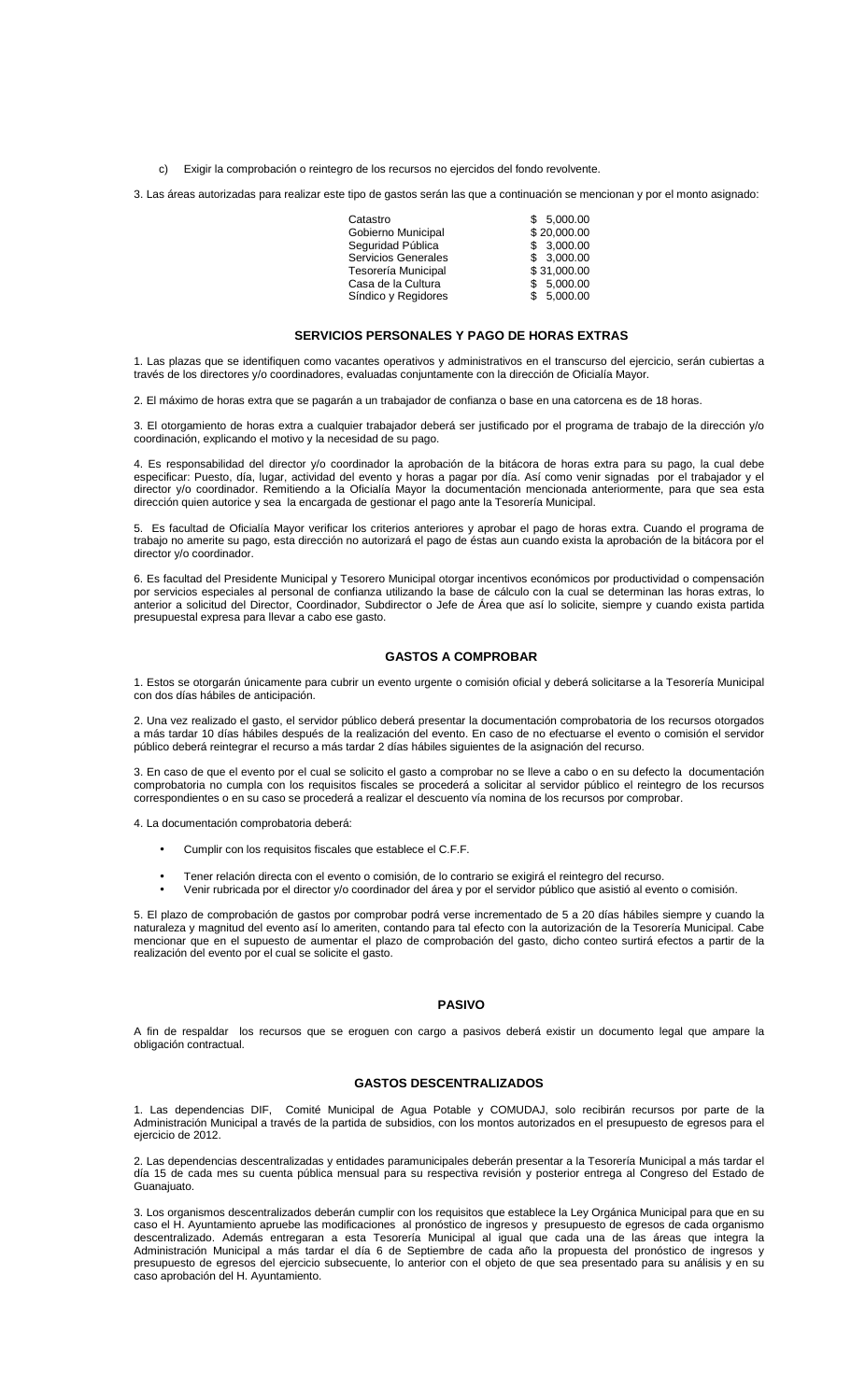c) Exigir la comprobación o reintegro de los recursos no ejercidos del fondo revolvente.

3. Las áreas autorizadas para realizar este tipo de gastos serán las que a continuación se mencionan y por el monto asignado:

| Catastro            | \$. | 5.000.00    |
|---------------------|-----|-------------|
| Gobierno Municipal  |     | \$20.000.00 |
| Seguridad Pública   |     | \$3.000.00  |
| Servicios Generales |     | \$3.000.00  |
| Tesorería Municipal |     | \$31.000.00 |
| Casa de la Cultura  |     | \$5.000.00  |
| Síndico y Regidores |     | \$5.000.00  |

#### **SERVICIOS PERSONALES Y PAGO DE HORAS EXTRAS**

1. Las plazas que se identifiquen como vacantes operativos y administrativos en el transcurso del ejercicio, serán cubiertas a través de los directores y/o coordinadores, evaluadas conjuntamente con la dirección de Oficialía Mayor.

2. El máximo de horas extra que se pagarán a un trabajador de confianza o base en una catorcena es de 18 horas.

3. El otorgamiento de horas extra a cualquier trabajador deberá ser justificado por el programa de trabajo de la dirección y/o coordinación, explicando el motivo y la necesidad de su pago.

4. Es responsabilidad del director y/o coordinador la aprobación de la bitácora de horas extra para su pago, la cual debe especificar: Puesto, día, lugar, actividad del evento y horas a pagar por día. Así como venir signadas por el trabajador y el director y/o coordinador. Remitiendo a la Oficialía Mayor la documentación mencionada anteriormente, para que sea esta dirección quien autorice y sea la encargada de gestionar el pago ante la Tesorería Municipal.

5. Es facultad de Oficialía Mayor verificar los criterios anteriores y aprobar el pago de horas extra. Cuando el programa de trabajo no amerite su pago, esta dirección no autorizará el pago de éstas aun cuando exista la aprobación de la bitácora por el director y/o coordinador.

6. Es facultad del Presidente Municipal y Tesorero Municipal otorgar incentivos económicos por productividad o compensación por servicios especiales al personal de confianza utilizando la base de cálculo con la cual se determinan las horas extras, lo anterior a solicitud del Director, Coordinador, Subdirector o Jefe de Área que así lo solicite, siempre y cuando exista partida presupuestal expresa para llevar a cabo ese gasto.

## **GASTOS A COMPROBAR**

1. Estos se otorgarán únicamente para cubrir un evento urgente o comisión oficial y deberá solicitarse a la Tesorería Municipal con dos días hábiles de anticipación.

2. Una vez realizado el gasto, el servidor público deberá presentar la documentación comprobatoria de los recursos otorgados a más tardar 10 días hábiles después de la realización del evento. En caso de no efectuarse el evento o comisión el servidor público deberá reintegrar el recurso a más tardar 2 días hábiles siguientes de la asignación del recurso.

3. En caso de que el evento por el cual se solicito el gasto a comprobar no se lleve a cabo o en su defecto la documentación comprobatoria no cumpla con los requisitos fiscales se procederá a solicitar al servidor público el reintegro de los recursos correspondientes o en su caso se procederá a realizar el descuento vía nomina de los recursos por comprobar.

4. La documentación comprobatoria deberá:

- Cumplir con los requisitos fiscales que establece el C.F.F.
- Tener relación directa con el evento o comisión, de lo contrario se exigirá el reintegro del recurso.
- Venir rubricada por el director y/o coordinador del área y por el servidor público que asistió al evento o comisión.

5. El plazo de comprobación de gastos por comprobar podrá verse incrementado de 5 a 20 días hábiles siempre y cuando la naturaleza y magnitud del evento así lo ameriten, contando para tal efecto con la autorización de la Tesorería Municipal. Cabe mencionar que en el supuesto de aumentar el plazo de comprobación del gasto, dicho conteo surtirá efectos a partir de la realización del evento por el cual se solicite el gasto.

#### **PASIVO**

A fin de respaldar los recursos que se eroguen con cargo a pasivos deberá existir un documento legal que ampare la obligación contractual.

### **GASTOS DESCENTRALIZADOS**

1. Las dependencias DIF, Comité Municipal de Agua Potable y COMUDAJ, solo recibirán recursos por parte de la Administración Municipal a través de la partida de subsidios, con los montos autorizados en el presupuesto de egresos para el ejercicio de 2012.

2. Las dependencias descentralizadas y entidades paramunicipales deberán presentar a la Tesorería Municipal a más tardar el día 15 de cada mes su cuenta pública mensual para su respectiva revisión y posterior entrega al Congreso del Estado de Guanaiuato.

3. Los organismos descentralizados deberán cumplir con los requisitos que establece la Ley Orgánica Municipal para que en su caso el H. Ayuntamiento apruebe las modificaciones al pronóstico de ingresos y presupuesto de egresos de cada organismo descentralizado. Además entregaran a esta Tesorería Municipal al igual que cada una de las áreas que integra la Administración Municipal a más tardar el día 6 de Septiembre de cada año la propuesta del pronóstico de ingresos y presupuesto de egresos del ejercicio subsecuente, lo anterior con el objeto de que sea presentado para su análisis y en su caso aprobación del H. Ayuntamiento.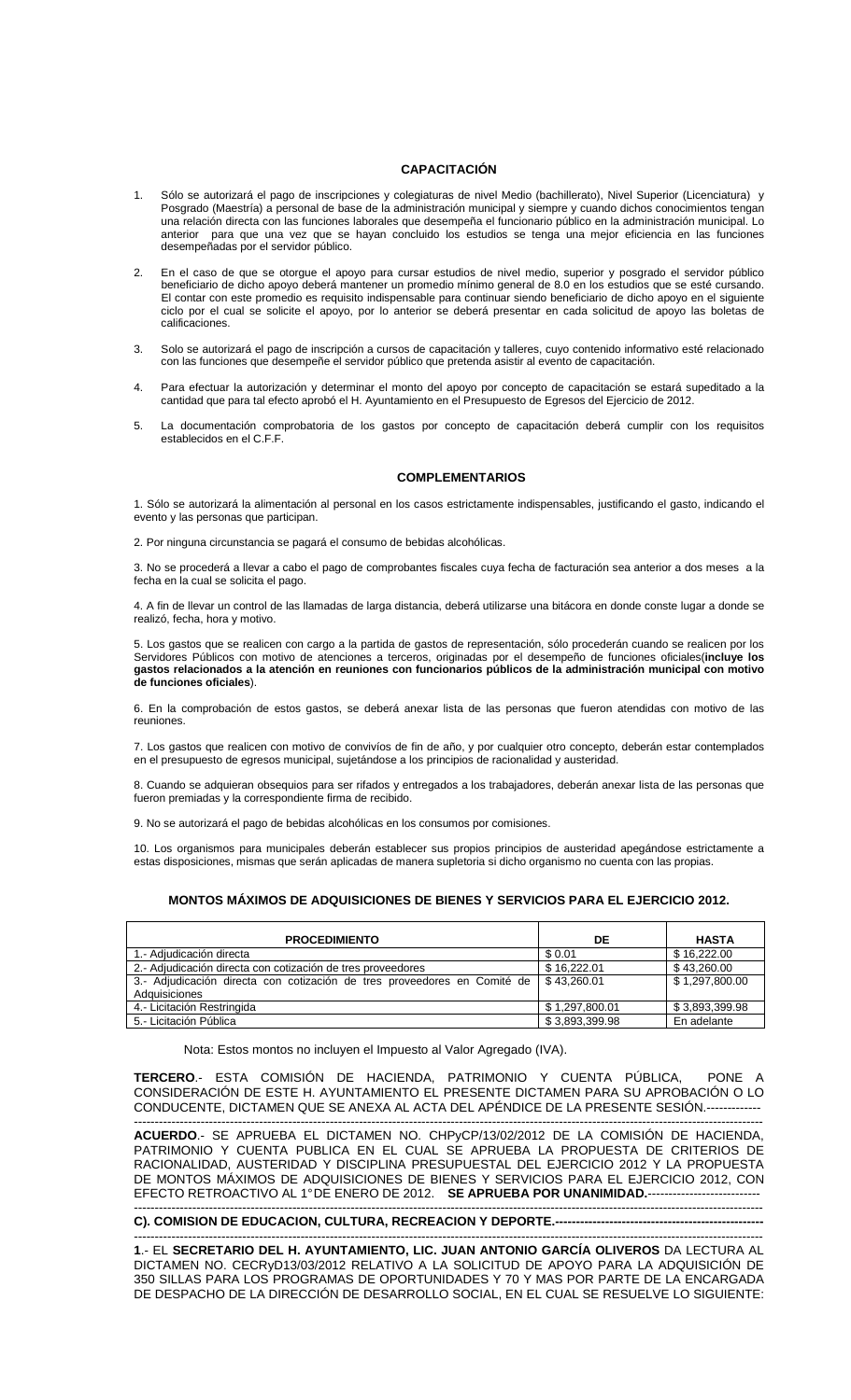# **CAPACITACIÓN**

- 1. Sólo se autorizará el pago de inscripciones y colegiaturas de nivel Medio (bachillerato), Nivel Superior (Licenciatura) y Posgrado (Maestría) a personal de base de la administración municipal y siempre y cuando dichos conocimientos tengan una relación directa con las funciones laborales que desempeña el funcionario público en la administración municipal. Lo anterior para que una vez que se hayan concluido los estudios se tenga una mejor eficiencia en las funciones desempeñadas por el servidor público.
- 2. En el caso de que se otorgue el apoyo para cursar estudios de nivel medio, superior y posgrado el servidor público beneficiario de dicho apoyo deberá mantener un promedio mínimo general de 8.0 en los estudios que se esté cursando. El contar con este promedio es requisito indispensable para continuar siendo beneficiario de dicho apoyo en el siguiente ciclo por el cual se solicite el apoyo, por lo anterior se deberá presentar en cada solicitud de apoyo las boletas de calificaciones.
- 3. Solo se autorizará el pago de inscripción a cursos de capacitación y talleres, cuyo contenido informativo esté relacionado con las funciones que desempeñe el servidor público que pretenda asistir al evento de capacitación.
- 4. Para efectuar la autorización y determinar el monto del apoyo por concepto de capacitación se estará supeditado a la cantidad que para tal efecto aprobó el H. Ayuntamiento en el Presupuesto de Egresos del Ejercicio de 2012.
- 5. La documentación comprobatoria de los gastos por concepto de capacitación deberá cumplir con los requisitos establecidos en el C.F.F.

## **COMPLEMENTARIOS**

1. Sólo se autorizará la alimentación al personal en los casos estrictamente indispensables, justificando el gasto, indicando el evento y las personas que participan.

2. Por ninguna circunstancia se pagará el consumo de bebidas alcohólicas.

3. No se procederá a llevar a cabo el pago de comprobantes fiscales cuya fecha de facturación sea anterior a dos meses a la fecha en la cual se solicita el pago.

4. A fin de llevar un control de las llamadas de larga distancia, deberá utilizarse una bitácora en donde conste lugar a donde se realizó, fecha, hora y motivo.

5. Los gastos que se realicen con cargo a la partida de gastos de representación, sólo procederán cuando se realicen por los Servidores Públicos con motivo de atenciones a terceros, originadas por el desempeño de funciones oficiales(**incluye los gastos relacionados a la atención en reuniones con funcionarios públicos de la administración municipal con motivo de funciones oficiales**).

6. En la comprobación de estos gastos, se deberá anexar lista de las personas que fueron atendidas con motivo de las reuniones.

7. Los gastos que realicen con motivo de convivíos de fin de año, y por cualquier otro concepto, deberán estar contemplados en el presupuesto de egresos municipal, sujetándose a los principios de racionalidad y austeridad.

8. Cuando se adquieran obsequios para ser rifados y entregados a los trabajadores, deberán anexar lista de las personas que fueron premiadas y la correspondiente firma de recibido.

9. No se autorizará el pago de bebidas alcohólicas en los consumos por comisiones.

10. Los organismos para municipales deberán establecer sus propios principios de austeridad apegándose estrictamente a estas disposiciones, mismas que serán aplicadas de manera supletoria si dicho organismo no cuenta con las propias.

## **MONTOS MÁXIMOS DE ADQUISICIONES DE BIENES Y SERVICIOS PARA EL EJERCICIO 2012.**

| <b>PROCEDIMIENTO</b>                                                                      | DE             | <b>HASTA</b>   |
|-------------------------------------------------------------------------------------------|----------------|----------------|
| 1. Adiudicación directa                                                                   | \$0.01         | \$16,222,00    |
| 2.- Adjudicación directa con cotización de tres proveedores                               | \$16,222.01    | \$43,260.00    |
| 3.- Adjudicación directa con cotización de tres proveedores en Comité de<br>Adquisiciones | \$43.260.01    | \$1.297.800.00 |
| 4.- Licitación Restringida                                                                | \$1,297,800.01 | \$3,893,399.98 |
| 5.- Licitación Pública                                                                    | \$3,893,399.98 | En adelante    |

Nota: Estos montos no incluyen el Impuesto al Valor Agregado (IVA).

**TERCERO**.- ESTA COMISIÓN DE HACIENDA, PATRIMONIO Y CUENTA PÚBLICA, PONE A CONSIDERACIÓN DE ESTE H. AYUNTAMIENTO EL PRESENTE DICTAMEN PARA SU APROBACIÓN O LO CONDUCENTE, DICTAMEN QUE SE ANEXA AL ACTA DEL APÉNDICE DE LA PRESENTE SESIÓN.--

------------------------------------------------------------------------------------------------------------------------------------------------------- **ACUERDO**.- SE APRUEBA EL DICTAMEN NO. CHPyCP/13/02/2012 DE LA COMISIÓN DE HACIENDA, PATRIMONIO Y CUENTA PUBLICA EN EL CUAL SE APRUEBA LA PROPUESTA DE CRITERIOS DE RACIONALIDAD, AUSTERIDAD Y DISCIPLINA PRESUPUESTAL DEL EJERCICIO 2012 Y LA PROPUESTA DE MONTOS MÁXIMOS DE ADQUISICIONES DE BIENES Y SERVICIOS PARA EL EJERCICIO 2012, CON EFECTO RETROACTIVO AL 1°DE ENERO DE 2012. SE APRUEBA POR UNANIMIDAD.---

-------------------------------------------------------------------------------------------------------------------------------------------------------

### **C). COMISION DE EDUCACION, CULTURA, RECREACION Y DEPORTE.-**

------------------------------------------------------------------------------------------------------------------------------------------------------- **1**.- EL **SECRETARIO DEL H. AYUNTAMIENTO, LIC. JUAN ANTONIO GARCÍA OLIVEROS** DA LECTURA AL DICTAMEN NO. CECRyD13/03/2012 RELATIVO A LA SOLICITUD DE APOYO PARA LA ADQUISICIÓN DE 350 SILLAS PARA LOS PROGRAMAS DE OPORTUNIDADES Y 70 Y MAS POR PARTE DE LA ENCARGADA DE DESPACHO DE LA DIRECCIÓN DE DESARROLLO SOCIAL, EN EL CUAL SE RESUELVE LO SIGUIENTE: